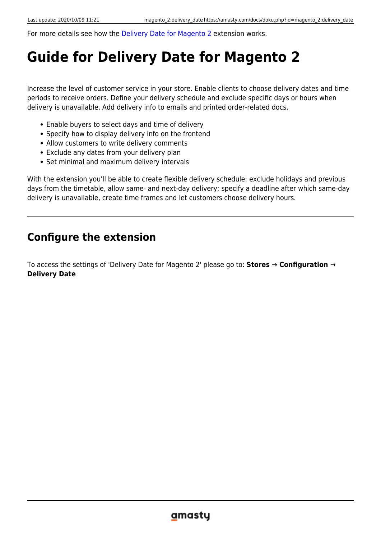For more details see how the [Delivery Date for Magento 2](https://delivery-date-m2.magento-demo.amasty.com/admin/admin/system_config/edit/section/amdeliverydate/) extension works.

# **Guide for Delivery Date for Magento 2**

Increase the level of customer service in your store. Enable clients to choose delivery dates and time periods to receive orders. Define your delivery schedule and exclude specific days or hours when delivery is unavailable. Add delivery info to emails and printed order-related docs.

- Enable buyers to select days and time of delivery
- Specify how to display delivery info on the frontend
- Allow customers to write delivery comments
- Exclude any dates from your delivery plan
- Set minimal and maximum delivery intervals

With the extension you'll be able to create flexible delivery schedule: exclude holidays and previous days from the timetable, allow same- and next-day delivery; specify a deadline after which same-day delivery is unavailable, create time frames and let customers choose delivery hours.

## **Configure the extension**

To access the settings of 'Delivery Date for Magento 2' please go to: **Stores → Configuration → Delivery Date**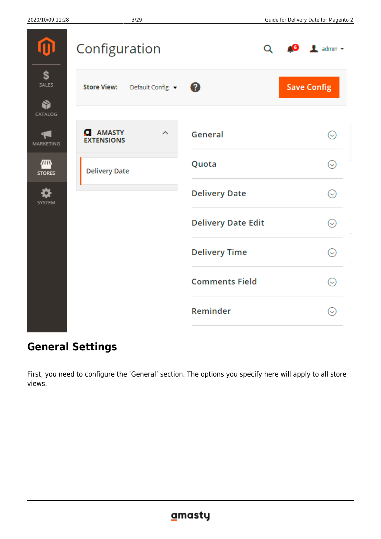|                                | Configuration                                   | Q                         | $\bullet$ <b>1</b> admin $\bullet$ |
|--------------------------------|-------------------------------------------------|---------------------------|------------------------------------|
| \$<br>SALES                    | <b>Store View:</b><br>Default Config $\sqrt{2}$ |                           | <b>Save Config</b>                 |
| Ñ<br>CATALOG                   |                                                 |                           |                                    |
| $\P_{\mathbf{v}}$<br>MARKETING | <b>AMASTY</b><br>О<br>ㅅ<br><b>EXTENSIONS</b>    | General                   | $\rm \odot$                        |
| ∕Ш<br><b>STORES</b>            | <b>Delivery Date</b>                            | Quota                     | $\rm \mathcal{\mathcal{C}}$        |
| <b>SYSTEM</b>                  |                                                 | <b>Delivery Date</b>      | ☉                                  |
|                                |                                                 | <b>Delivery Date Edit</b> | ☉                                  |
|                                |                                                 | <b>Delivery Time</b>      | ☉                                  |
|                                |                                                 | <b>Comments Field</b>     | Q                                  |
|                                |                                                 | Reminder                  | Q                                  |
|                                |                                                 |                           |                                    |

## **General Settings**

First, you need to configure the 'General' section. The options you specify here will apply to all store views.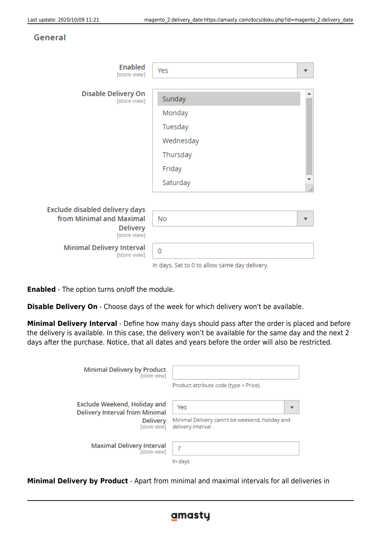#### General

| Enabled<br>[store view]                          | Yes                                           |  |
|--------------------------------------------------|-----------------------------------------------|--|
| Disable Delivery On                              |                                               |  |
| [store view]                                     | Sunday                                        |  |
|                                                  | Monday                                        |  |
|                                                  | Tuesday                                       |  |
|                                                  | Wednesday                                     |  |
|                                                  | Thursday                                      |  |
|                                                  | Friday                                        |  |
|                                                  | Saturday                                      |  |
| Exclude disabled delivery days                   |                                               |  |
| from Minimal and Maximal                         | No                                            |  |
| <b>Delivery</b><br>[store view]                  |                                               |  |
| <b>Minimal Delivery Interval</b><br>[store view] | 0                                             |  |
|                                                  | In days. Set to 0 to allow same day delivery. |  |

**Enabled** - The option turns on/off the module.

**Disable Delivery On** - Choose days of the week for which delivery won't be available.

**Minimal Delivery Interval** - Define how many days should pass after the order is placed and before the delivery is available. In this case, the delivery won't be available for the same day and the next 2 days after the purchase. Notice, that all dates and years before the order will also be restricted.

| <b>Minimal Delivery by Product</b><br>[store view]                                                | Product attribute code (type = Price).                                       |
|---------------------------------------------------------------------------------------------------|------------------------------------------------------------------------------|
| Exclude Weekend, Holiday and<br><b>Delivery Interval from Minimal</b><br>Delivery<br>[store view] | Yes<br>Minimal Delivery cann't be weekend, holiday and<br>delivery interval. |
| <b>Maximal Delivery Interval</b><br>[store view]                                                  | In days                                                                      |

**Minimal Delivery by Product** - Apart from minimal and maximal intervals for all deliveries in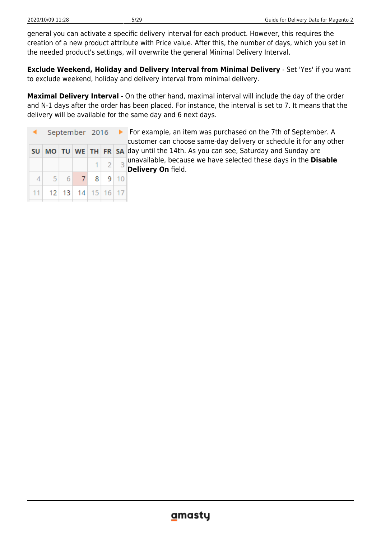general you can activate a specific delivery interval for each product. However, this requires the creation of a new product attribute with Price value. After this, the number of days, which you set in the needed product's settings, will overwrite the general Minimal Delivery Interval.

**Exclude Weekend, Holiday and Delivery Interval from Minimal Delivery** - Set 'Yes' if you want to exclude weekend, holiday and delivery interval from minimal delivery.

**Maximal Delivery Interval** - On the other hand, maximal interval will include the day of the order and N-1 days after the order has been placed. For instance, the interval is set to 7. It means that the delivery will be available for the same day and 6 next days.

|   |                      |                 | September 2016 ▶ |  |             | ٢ |
|---|----------------------|-----------------|------------------|--|-------------|---|
|   | SU MO TU WE TH FR SA |                 |                  |  |             |   |
|   |                      |                 |                  |  | $1 \ 2 \ 3$ |   |
| 4 |                      | $5 \mid 6 \mid$ | $\overline{7}$   |  | $8$ 9 10    |   |
|   | 11 12 13 14 15 16 17 |                 |                  |  |             |   |

 For example, an item was purchased on the 7th of September. A customer can choose same-day delivery or schedule it for any other day until the 14th. As you can see, Saturday and Sunday are unavailable, because we have selected these days in the **Disable Delivery On** field.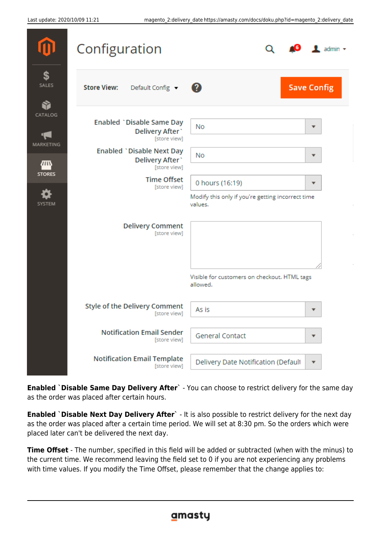|                    | Configuration                                               | $\mathbf 1$ admin $\mathbf -$                                |
|--------------------|-------------------------------------------------------------|--------------------------------------------------------------|
| \$<br><b>SALES</b> | <b>Store View:</b><br>Default Config v                      | <b>Save Config</b><br>$\circledR$                            |
| CATALOG            | Enabled `Disable Same Day                                   | No<br>▼                                                      |
| MARKETING          | Delivery After<br>[store view]                              |                                                              |
| m                  | Enabled `Disable Next Day<br>Delivery After<br>[store view] | No<br>▼                                                      |
| <b>STORES</b>      | <b>Time Offset</b><br>[store view]                          | 0 hours (16:19)<br>▼                                         |
| <b>SYSTEM</b>      |                                                             | Modify this only if you're getting incorrect time<br>values. |
|                    | <b>Delivery Comment</b><br>[store view]                     |                                                              |
|                    |                                                             | Visible for customers on checkout. HTML tags<br>allowed.     |
|                    | <b>Style of the Delivery Comment</b><br>[store view]        | As is<br>▼                                                   |
|                    | <b>Notification Email Sender</b><br>[store view]            | <b>General Contact</b><br>▼                                  |
|                    | <b>Notification Email Template</b><br>[store view]          | Delivery Date Notification (Default<br>▼                     |

**Enabled `Disable Same Day Delivery After`** - You can choose to restrict delivery for the same day as the order was placed after certain hours.

**Enabled `Disable Next Day Delivery After`** - It is also possible to restrict delivery for the next day as the order was placed after a certain time period. We will set at 8:30 pm. So the orders which were placed later can't be delivered the next day.

**Time Offset** - The number, specified in this field will be added or subtracted (when with the minus) to the current time. We recommend leaving the field set to 0 if you are not experiencing any problems with time values. If you modify the Time Offset, please remember that the change applies to: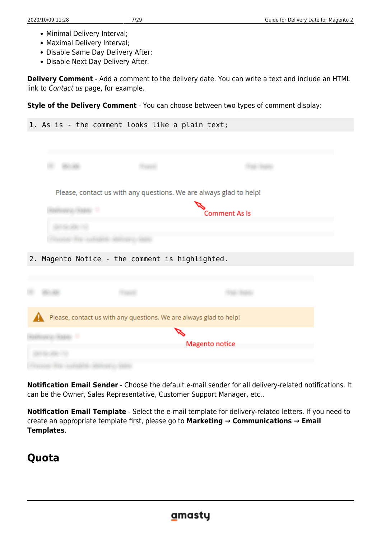- Minimal Delivery Interval;
- Maximal Delivery Interval;
- Disable Same Day Delivery After;
- Disable Next Day Delivery After.

**Delivery Comment** - Add a comment to the delivery date. You can write a text and include an HTML link to Contact us page, for example.

**Style of the Delivery Comment** - You can choose between two types of comment display:

| Please, contact us with any questions. We are always glad to help!<br><b>Comment As Is</b><br>Magento Notice - the comment is highlighted.<br>Please, contact us with any questions. We are always glad to help!<br><b>Magento notice</b> | 1. As is - the comment looks like a plain text; |  |  |
|-------------------------------------------------------------------------------------------------------------------------------------------------------------------------------------------------------------------------------------------|-------------------------------------------------|--|--|
|                                                                                                                                                                                                                                           |                                                 |  |  |
|                                                                                                                                                                                                                                           |                                                 |  |  |
|                                                                                                                                                                                                                                           |                                                 |  |  |
|                                                                                                                                                                                                                                           |                                                 |  |  |
|                                                                                                                                                                                                                                           |                                                 |  |  |
|                                                                                                                                                                                                                                           |                                                 |  |  |
|                                                                                                                                                                                                                                           |                                                 |  |  |
|                                                                                                                                                                                                                                           |                                                 |  |  |
|                                                                                                                                                                                                                                           |                                                 |  |  |
|                                                                                                                                                                                                                                           | 2.                                              |  |  |
|                                                                                                                                                                                                                                           |                                                 |  |  |
|                                                                                                                                                                                                                                           |                                                 |  |  |
|                                                                                                                                                                                                                                           |                                                 |  |  |
|                                                                                                                                                                                                                                           |                                                 |  |  |
|                                                                                                                                                                                                                                           |                                                 |  |  |
|                                                                                                                                                                                                                                           |                                                 |  |  |
|                                                                                                                                                                                                                                           |                                                 |  |  |

**Notification Email Sender** - Choose the default e-mail sender for all delivery-related notifications. It can be the Owner, Sales Representative, Customer Support Manager, etc..

**Notification Email Template** - Select the e-mail template for delivery-related letters. If you need to create an appropriate template first, please go to **Marketing → Communications → Email Templates**.

## **Quota**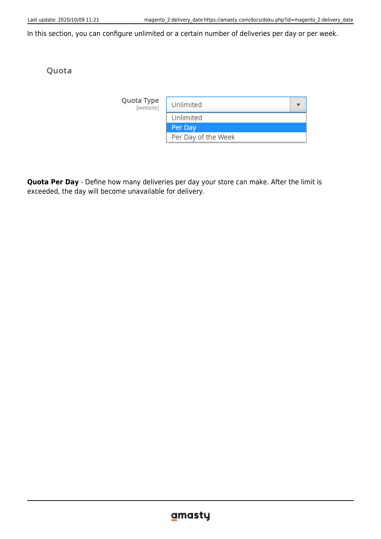In this section, you can configure unlimited or a certain number of deliveries per day or per week.

#### Quota

| Quota Type<br>[website] | Unlimited           |  |
|-------------------------|---------------------|--|
|                         | Unlimited           |  |
|                         | Per Day             |  |
|                         | Per Day of the Week |  |

**Quota Per Day** - Define how many deliveries per day your store can make. After the limit is exceeded, the day will become unavailable for delivery.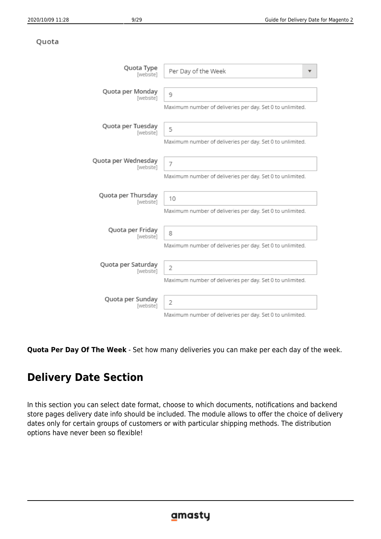#### Quota

| Quota Type<br>[website] | Per Day of the Week                                       |
|-------------------------|-----------------------------------------------------------|
| Quota per Monday        | 9                                                         |
| [website]               | Maximum number of deliveries per day. Set 0 to unlimited. |
| Quota per Tuesday       | 5                                                         |
| [website]               | Maximum number of deliveries per day. Set 0 to unlimited. |
| Quota per Wednesday     | 7                                                         |
| [website]               | Maximum number of deliveries per day. Set 0 to unlimited. |
| Quota per Thursday      | 10                                                        |
| [website]               | Maximum number of deliveries per day. Set 0 to unlimited. |
| Quota per Friday        | 8                                                         |
| [website]               | Maximum number of deliveries per day. Set 0 to unlimited. |
| Quota per Saturday      | $\overline{2}$                                            |
| [website]               | Maximum number of deliveries per day. Set 0 to unlimited. |
| Quota per Sunday        | 2                                                         |
| [website]               | Maximum number of deliveries per day. Set 0 to unlimited. |

**Quota Per Day Of The Week** - Set how many deliveries you can make per each day of the week.

## <span id="page-8-0"></span>**Delivery Date Section**

In this section you can select date format, choose to which documents, notifications and backend store pages delivery date info should be included. The module allows to offer the choice of delivery dates only for certain groups of customers or with particular shipping methods. The distribution options have never been so flexible!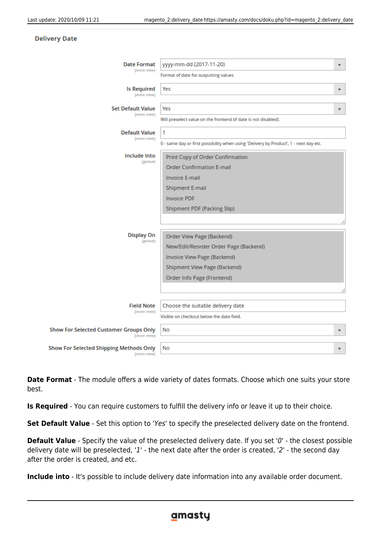#### **Delivery Date**

| <b>Date Format</b><br>[store view]                             | yyyy-mm-dd (2017-11-20)                                                               | ٠ |
|----------------------------------------------------------------|---------------------------------------------------------------------------------------|---|
|                                                                | Format of date for outputting values                                                  |   |
| <b>Is Required</b>                                             | Yes                                                                                   | ÷ |
| [store view]                                                   |                                                                                       |   |
| <b>Set Default Value</b>                                       | Yes                                                                                   |   |
| [store view]                                                   | Will preselect value on the frontend (if date is not disabled).                       |   |
| <b>Default Value</b>                                           | 1                                                                                     |   |
| [store view]                                                   | 0 - same day or first possibility when using 'Delivery by Product', 1 - next day etc. |   |
| Include Into                                                   | Print Copy of Order Confirmation                                                      |   |
| [global]                                                       | <b>Order Confirmation E-mail</b>                                                      |   |
|                                                                | <b>Invoice E-mail</b>                                                                 |   |
|                                                                | Shipment E-mail                                                                       |   |
|                                                                | <b>Invoice PDF</b>                                                                    |   |
|                                                                | <b>Shipment PDF (Packing Slip)</b>                                                    |   |
|                                                                |                                                                                       |   |
| <b>Display On</b>                                              |                                                                                       |   |
| [global]                                                       | Order View Page (Backend)                                                             |   |
|                                                                | New/Edit/Reorder Order Page (Backend)                                                 |   |
|                                                                | Invoice View Page (Backend)                                                           |   |
|                                                                | Shipment View Page (Backend)                                                          |   |
|                                                                | Order Info Page (Frontend)                                                            |   |
|                                                                |                                                                                       |   |
| <b>Field Note</b>                                              | Choose the suitable delivery date                                                     |   |
| [store view]                                                   | Visible on checkout below the date field.                                             |   |
| <b>Show For Selected Customer Groups Only</b>                  | No                                                                                    | ٠ |
| [store view]                                                   |                                                                                       |   |
| <b>Show For Selected Shipping Methods Only</b><br>[store view] | No                                                                                    | ٠ |

**Date Format** - The module offers a wide variety of dates formats. Choose which one suits your store best.

**Is Required** - You can require customers to fulfill the delivery info or leave it up to their choice.

**Set Default Value** - Set this option to 'Yes' to specify the preselected delivery date on the frontend.

**Default Value** - Specify the value of the preselected delivery date. If you set '0' - the closest possible delivery date will be preselected, '1' - the next date after the order is created, '2' - the second day after the order is created, and etc.

**Include into** - It's possible to include delivery date information into any available order document.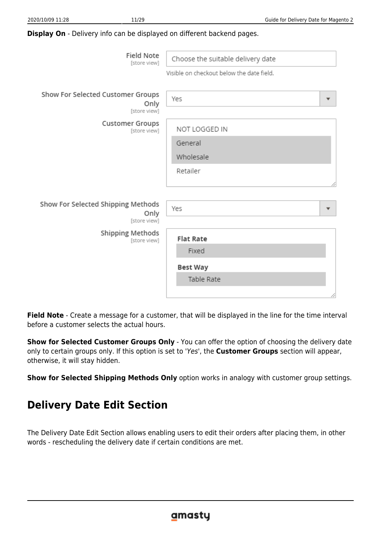#### **Display On** - Delivery info can be displayed on different backend pages.

| Field Note<br>[store view]                                 | Choose the suitable delivery date         |
|------------------------------------------------------------|-------------------------------------------|
|                                                            | Visible on checkout below the date field. |
| Show For Selected Customer Groups<br>Only<br>[store view]  | Yes<br>$\overline{\mathbf{v}}$            |
| Customer Groups<br>[store view]                            | NOT LOGGED IN                             |
|                                                            | General                                   |
|                                                            | Wholesale                                 |
|                                                            | Retailer                                  |
|                                                            |                                           |
| Show For Selected Shipping Methods<br>Only<br>[store view] | Yes                                       |
| Shipping Methods<br>[store view]                           | <b>Flat Rate</b>                          |
|                                                            | Fixed                                     |
|                                                            | <b>Best Way</b>                           |
|                                                            | Table Rate                                |
|                                                            |                                           |

**Field Note** - Create a message for a customer, that will be displayed in the line for the time interval before a customer selects the actual hours.

**Show for Selected Customer Groups Only** - You can offer the option of choosing the delivery date only to certain groups only. If this option is set to 'Yes', the **Customer Groups** section will appear, otherwise, it will stay hidden.

**Show for Selected Shipping Methods Only** option works in analogy with customer group settings.

## **Delivery Date Edit Section**

The Delivery Date Edit Section allows enabling users to edit their orders after placing them, in other words - rescheduling the delivery date if certain conditions are met.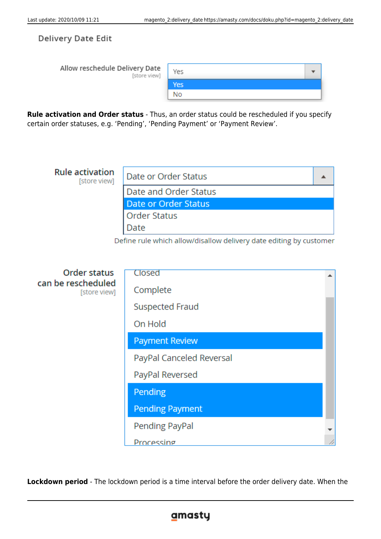**Delivery Date Edit** 

Allow reschedule Delivery Date **Istore** view

| е<br>v] | Yes        |  |
|---------|------------|--|
|         | <b>Yes</b> |  |
|         | No         |  |

**Rule activation and Order status** - Thus, an order status could be rescheduled if you specify certain order statuses, e.g. 'Pending', 'Pending Payment' or 'Payment Review'.



| Uruer status                       | Closed                   |    |
|------------------------------------|--------------------------|----|
| can be rescheduled<br>[store view] | Complete                 |    |
|                                    | <b>Suspected Fraud</b>   |    |
|                                    | On Hold                  |    |
|                                    | <b>Payment Review</b>    |    |
|                                    | PayPal Canceled Reversal |    |
|                                    | PayPal Reversed          |    |
|                                    | Pending                  |    |
|                                    | <b>Pending Payment</b>   |    |
|                                    | Pending PayPal           |    |
|                                    | Processing               | // |

**Lockdown period** - The lockdown period is a time interval before the order delivery date. When the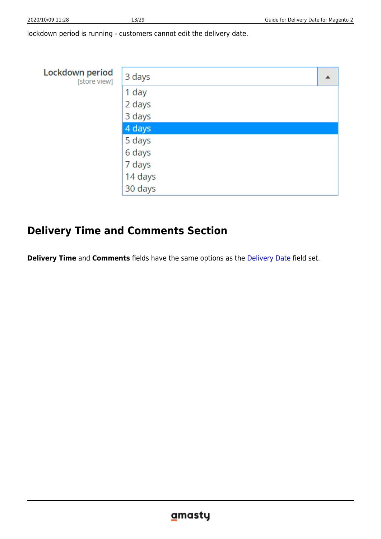lockdown period is running - customers cannot edit the delivery date.

| Lockdown period<br>[store view] | 3 days  |  |
|---------------------------------|---------|--|
|                                 | 1 day   |  |
|                                 | 2 days  |  |
|                                 | 3 days  |  |
|                                 | 4 days  |  |
|                                 | 5 days  |  |
|                                 | 6 days  |  |
|                                 | 7 days  |  |
|                                 | 14 days |  |
|                                 | 30 days |  |

## **Delivery Time and Comments Section**

**Delivery Time** and **Comments** fields have the same options as the [Delivery Date](#page-8-0) field set.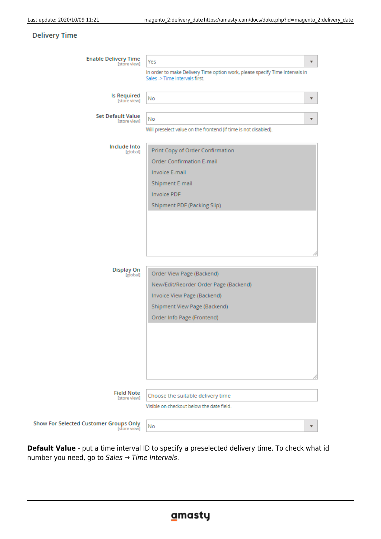#### **Delivery Time**

**Show For** 

| <b>Enable Delivery Time</b><br>[store view]   | Yes                                                                                                            | ▼ |
|-----------------------------------------------|----------------------------------------------------------------------------------------------------------------|---|
|                                               | In order to make Delivery Time option work, please specify Time Intervals in<br>Sales -> Time Intervals first. |   |
| <b>Is Required</b><br>[store view]            | No                                                                                                             | ▼ |
| <b>Set Default Value</b>                      | No                                                                                                             |   |
| [store view]                                  | Will preselect value on the frontend (if time is not disabled).                                                |   |
|                                               |                                                                                                                |   |
| Include Into<br>[global]                      | Print Copy of Order Confirmation                                                                               |   |
|                                               | <b>Order Confirmation E-mail</b>                                                                               |   |
|                                               | <b>Invoice E-mail</b>                                                                                          |   |
|                                               | Shipment E-mail                                                                                                |   |
|                                               | <b>Invoice PDF</b>                                                                                             |   |
|                                               | Shipment PDF (Packing Slip)                                                                                    |   |
|                                               |                                                                                                                |   |
| <b>Display On</b>                             |                                                                                                                |   |
| [global]                                      | Order View Page (Backend)                                                                                      |   |
|                                               | New/Edit/Reorder Order Page (Backend)                                                                          |   |
|                                               | Invoice View Page (Backend)                                                                                    |   |
|                                               | Shipment View Page (Backend)<br>Order Info Page (Frontend)                                                     |   |
|                                               |                                                                                                                |   |
| <b>Field Note</b><br>[store view]             | Choose the suitable delivery time                                                                              |   |
|                                               | Visible on checkout below the date field.                                                                      |   |
| Selected Customer Groups Only<br>[store view] | No                                                                                                             |   |
|                                               |                                                                                                                |   |

**Default Value** - put a time interval ID to specify a preselected delivery time. To check what id number you need, go to Sales → Time Intervals.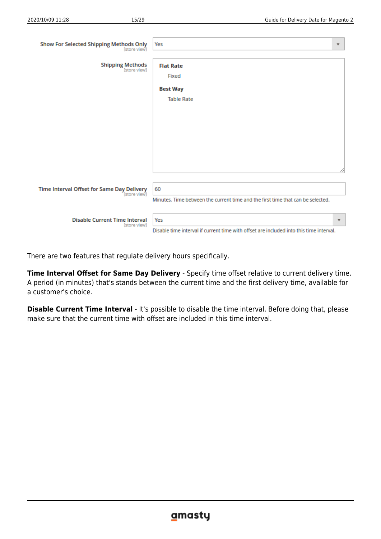| ⊥⊥.∠∪<br>$\sim$ |  |  |
|-----------------|--|--|
|                 |  |  |
|                 |  |  |
|                 |  |  |

| <b>Show For Selected Shipping Methods Only</b><br>[store view] | Yes                                                                                            | $\overline{\mathbf{v}}$ |
|----------------------------------------------------------------|------------------------------------------------------------------------------------------------|-------------------------|
| <b>Shipping Methods</b><br>[store view]                        | <b>Flat Rate</b><br>Fixed                                                                      |                         |
|                                                                | <b>Best Way</b>                                                                                |                         |
|                                                                | <b>Table Rate</b>                                                                              |                         |
|                                                                |                                                                                                |                         |
|                                                                |                                                                                                |                         |
|                                                                |                                                                                                |                         |
|                                                                |                                                                                                | 4                       |
| Time Interval Offset for Same Day Delivery<br>[store view]     | 60<br>Minutes. Time between the current time and the first time that can be selected.          |                         |
| <b>Disable Current Time Interval</b><br>[store view]           | Yes<br>Disable time interval if current time with offset are included into this time interval. | $\overline{\mathbf{v}}$ |

There are two features that regulate delivery hours specifically.

**Time Interval Offset for Same Day Delivery** - Specify time offset relative to current delivery time. A period (in minutes) that's stands between the current time and the first delivery time, available for a customer's choice.

**Disable Current Time Interval** - It's possible to disable the time interval. Before doing that, please make sure that the current time with offset are included in this time interval.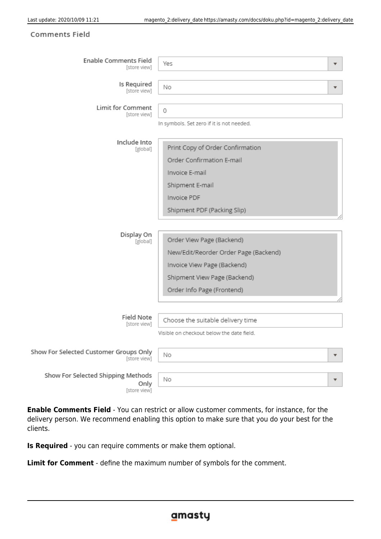#### **Comments Field**

| <b>Enable Comments Field</b><br>[store view]               | Yes                                       | ▼ |
|------------------------------------------------------------|-------------------------------------------|---|
| Is Required<br>[store view]                                | Νo                                        |   |
| Limit for Comment<br>[store view]                          | 0                                         |   |
|                                                            | In symbols. Set zero if it is not needed. |   |
| Include Into<br>[global]                                   | Print Copy of Order Confirmation          |   |
|                                                            | Order Confirmation E-mail                 |   |
|                                                            | Invoice E-mail                            |   |
|                                                            | Shipment E-mail                           |   |
|                                                            | Invoice PDF                               |   |
|                                                            | Shipment PDF (Packing Slip)               |   |
|                                                            |                                           |   |
| Display On<br>[global]                                     | Order View Page (Backend)                 |   |
|                                                            | New/Edit/Reorder Order Page (Backend)     |   |
|                                                            | Invoice View Page (Backend)               |   |
|                                                            | Shipment View Page (Backend)              |   |
|                                                            | Order Info Page (Frontend)                |   |
|                                                            |                                           |   |
| Field Note<br>[store view]                                 | Choose the suitable delivery time         |   |
|                                                            | Visible on checkout below the date field. |   |
| Show For Selected Customer Groups Only<br>[store view]     | Νo                                        | ▼ |
| Show For Selected Shipping Methods<br>Only<br>[store view] | Νo                                        | ▼ |

**Enable Comments Field** - You can restrict or allow customer comments, for instance, for the delivery person. We recommend enabling this option to make sure that you do your best for the clients.

**Is Required** - you can require comments or make them optional.

**Limit for Comment** - define the maximum number of symbols for the comment.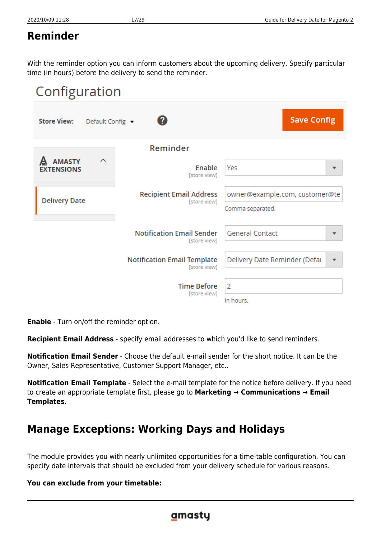# **Reminder**

With the reminder option you can inform customers about the upcoming delivery. Specify particular time (in hours) before the delivery to send the reminder.



**Enable** - Turn on/off the reminder option.

**Recipient Email Address** - specify email addresses to which you'd like to send reminders.

**Notification Email Sender** - Choose the default e-mail sender for the short notice. It can be the Owner, Sales Representative, Customer Support Manager, etc..

**Notification Email Template** - Select the e-mail template for the notice before delivery. If you need to create an appropriate template first, please go to **Marketing → Communications → Email Templates**.

# **Manage Exceptions: Working Days and Holidays**

The module provides you with nearly unlimited opportunities for a time-table configuration. You can specify date intervals that should be excluded from your delivery schedule for various reasons.

#### **You can exclude from your timetable:**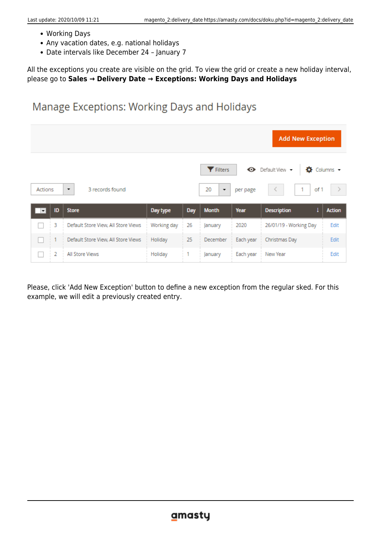- Working Days
- Any vacation dates, e.g. national holidays
- Date intervals like December 24 January 7

All the exceptions you create are visible on the grid. To view the grid or create a new holiday interval, please go to **Sales → Delivery Date → Exceptions: Working Days and Holidays**

## Manage Exceptions: Working Days and Holidays

| <b>Add New Exception</b>              |    |                                     |             |     |                             |           |                                          |                    |  |
|---------------------------------------|----|-------------------------------------|-------------|-----|-----------------------------|-----------|------------------------------------------|--------------------|--|
| 3 records found<br>Actions<br>$\cdot$ |    |                                     |             |     | <b>Y</b> Filters<br>20<br>۰ | per page  | $\bullet$ Default View $\bullet$<br>of 1 | <b>☆</b> Columns → |  |
|                                       |    |                                     |             |     |                             |           |                                          |                    |  |
| $\vert \mathbf{v} \vert$              | ID | <b>Store</b>                        | Day type    | Day | <b>Month</b>                | Year      | <b>Description</b>                       | <b>Action</b>      |  |
|                                       | 3  | Default Store View, All Store Views | Working day | 26  | January                     | 2020      | 26/01/19 - Working Day                   | Edit               |  |
|                                       |    | Default Store View, All Store Views | Holiday     | 25  | December                    | Each year | Christmas Day                            | Edit               |  |

Please, click 'Add New Exception' button to define a new exception from the regular sked. For this example, we will edit a previously created entry.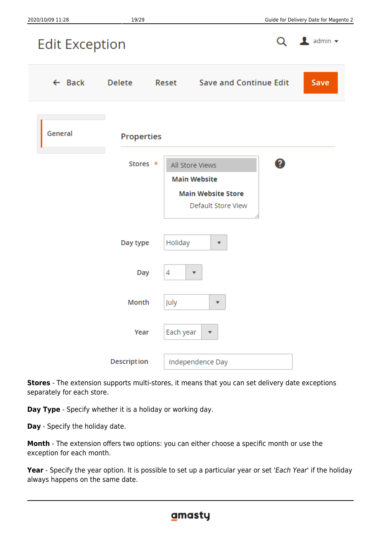

**Stores** - The extension supports multi-stores, it means that you can set delivery date exceptions separately for each store.

**Day Type** - Specify whether it is a holiday or working day.

**Day** - Specify the holiday date.

**Month** - The extension offers two options: you can either choose a specific month or use the exception for each month.

**Year** - Specify the year option. It is possible to set up a particular year or set 'Each Year' if the holiday always happens on the same date.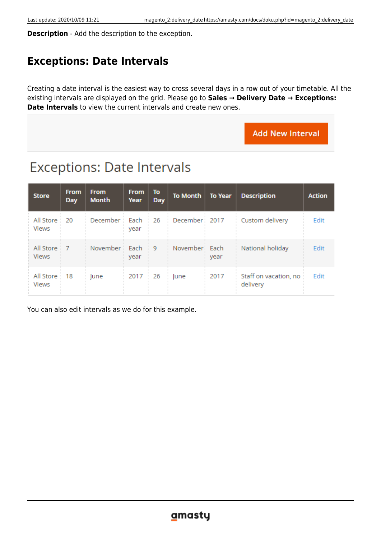**Description** - Add the description to the exception.

## **Exceptions: Date Intervals**

Creating a date interval is the easiest way to cross several days in a row out of your timetable. All the existing intervals are displayed on the grid. Please go to **Sales → Delivery Date → Exceptions: Date Intervals** to view the current intervals and create new ones.

**Add New Interval** 

# **Exceptions: Date Intervals**

| <b>Store</b>                 | <b>From</b><br><b>Day</b> | <b>From</b><br><b>Month</b> | <b>From</b><br>Year | To<br><b>Day</b> | To Month       | <b>To Year</b> | <b>Description</b>                | <b>Action</b> |
|------------------------------|---------------------------|-----------------------------|---------------------|------------------|----------------|----------------|-----------------------------------|---------------|
| All Store:<br><b>Views</b>   | 20                        | December :                  | Each<br>year        | 26               | December: 2017 |                | Custom delivery                   | Edit          |
| All Store 7<br><b>Views</b>  |                           | November                    | Each<br>year        | - 9              | November Each  | year           | National holiday                  | Edit          |
| All Store 18<br><b>Views</b> |                           | lune                        | 2017                | 26               | lune           | 2017           | Staff on vacation, no<br>delivery | Edit          |

You can also edit intervals as we do for this example.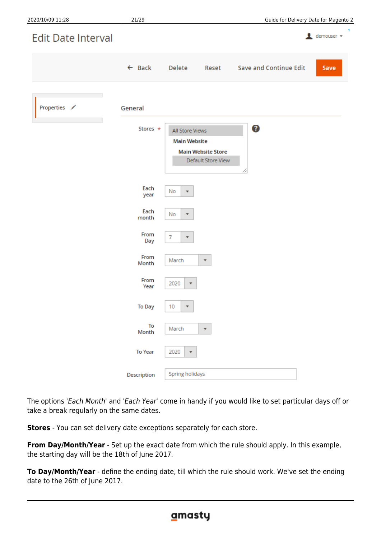| 2020/10/09 11:28          | 21/29             |                                                                                           | Guide for Delivery Date for Magento 2 |
|---------------------------|-------------------|-------------------------------------------------------------------------------------------|---------------------------------------|
| <b>Edit Date Interval</b> |                   |                                                                                           | л.<br>$\triangle$ demouser $\sim$     |
|                           | $\leftarrow$ Back | Delete<br>Reset                                                                           | <b>Save and Continue Edit</b><br>Save |
| Properties /              | General           |                                                                                           |                                       |
|                           | Stores *          | All Store Views<br><b>Main Website</b><br><b>Main Website Store</b><br>Default Store View | 0                                     |
|                           | Each<br>year      | No<br>$\overline{\mathbf{v}}$                                                             |                                       |
|                           | Each<br>month     | No<br>$\mathbf{v}$                                                                        |                                       |
|                           | From<br>Day       | 7<br>$\mathbf{v}$                                                                         |                                       |
|                           | From<br>Month     | March<br>$\overline{\mathbf{v}}$                                                          |                                       |
|                           | From<br>Year      | 2020<br>$\overline{\mathbf{v}}$                                                           |                                       |
|                           | To Day            | 10<br>$\overline{\mathbf{v}}$                                                             |                                       |
|                           | To<br>Month       | March<br>۰.                                                                               |                                       |
|                           | <b>To Year</b>    | 2020<br>٠                                                                                 |                                       |
|                           | Description       | Spring holidays                                                                           |                                       |

The options 'Each Month' and 'Each Year' come in handy if you would like to set particular days off or take a break regularly on the same dates.

**Stores** - You can set delivery date exceptions separately for each store.

**From Day/Month/Year** - Set up the exact date from which the rule should apply. In this example, the starting day will be the 18th of June 2017.

**To Day/Month/Year** - define the ending date, till which the rule should work. We've set the ending date to the 26th of June 2017.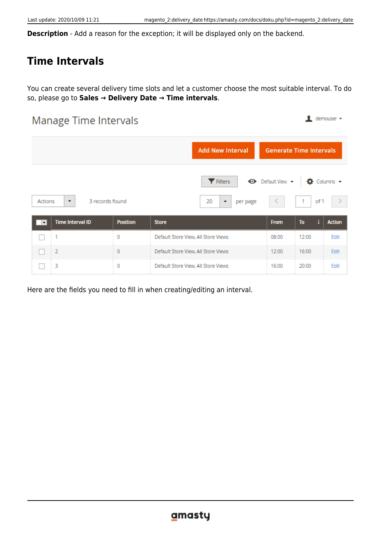$\triangle$  demouser  $\sim$ 

**Description** - Add a reason for the exception; it will be displayed only on the backend.

## **Time Intervals**

You can create several delivery time slots and let a customer choose the most suitable interval. To do so, please go to **Sales → Delivery Date → Time intervals**.

## **Manage Time Intervals**

|                                                        |                 | <b>Add New Interval</b>                                        | <b>Generate Time Intervals</b> |                |               |
|--------------------------------------------------------|-----------------|----------------------------------------------------------------|--------------------------------|----------------|---------------|
| Actions<br>3 records found<br>$\overline{\phantom{a}}$ |                 | <b>Y</b> Filters<br>20<br>per page<br>$\overline{\phantom{a}}$ | ← Default View →               | o<br>of 1<br>1 | Columns -     |
| <b>Time Interval ID</b><br>$\overline{\phantom{a}}$    | <b>Position</b> | <b>Store</b>                                                   | <b>From</b>                    | To             | <b>Action</b> |
|                                                        | 0               | Default Store View, All Store Views                            | 08:00                          | 12:00          | Edit          |
| $\frac{1}{2}$                                          | 0               | Default Store View, All Store Views                            | 12:00                          | 16:00          | Edit          |
| 3                                                      | 0               | Default Store View, All Store Views                            | 16:00                          | 20:00          | Edit          |

Here are the fields you need to fill in when creating/editing an interval.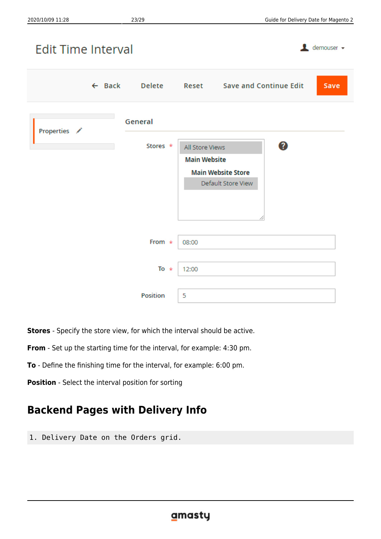$\triangle$  demouser  $\star$ 

# **Edit Time Interval**

|              |                     |                                        | ← Back Delete Reset Save and Continue Edit           | <b>Save</b> |
|--------------|---------------------|----------------------------------------|------------------------------------------------------|-------------|
| Properties / | General<br>Stores * | All Store Views<br><b>Main Website</b> | 0<br><b>Main Website Store</b><br>Default Store View |             |
|              | From $*$            | 08:00                                  |                                                      |             |
|              | To $*$              | 12:00                                  |                                                      |             |
|              | <b>Position</b>     | 5                                      |                                                      |             |

**Stores** - Specify the store view, for which the interval should be active.

**From** - Set up the starting time for the interval, for example: 4:30 pm.

**To** - Define the finishing time for the interval, for example: 6:00 pm.

**Position** - Select the interval position for sorting

## **Backend Pages with Delivery Info**

1. Delivery Date on the Orders grid.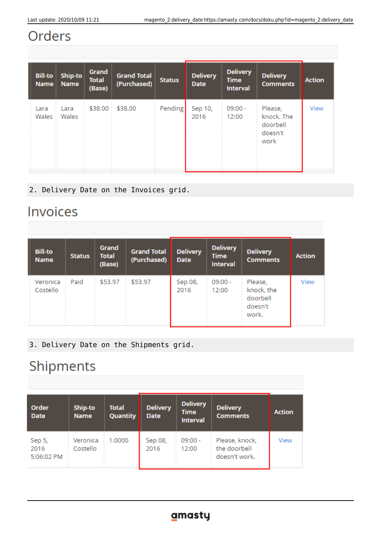# Orders

| <b>Bill-to</b><br><b>Name</b> | Ship-to<br><b>Name</b> | Grand<br><b>Total</b><br>(Base) | <b>Grand Total</b><br>(Purchased) | <b>Status</b> | <b>Delivery</b><br><b>Date</b> | <b>Delivery</b><br><b>Time</b><br><b>Interval</b> | <b>Delivery</b><br><b>Comments</b>                   | <b>Action</b> |
|-------------------------------|------------------------|---------------------------------|-----------------------------------|---------------|--------------------------------|---------------------------------------------------|------------------------------------------------------|---------------|
| Lara<br>Wales                 | Lara<br>Wales          | \$38.00                         | \$38.00                           | Pending       | Sep 10,<br>2016                | $09:00 -$<br>12:00                                | Please,<br>knock. The<br>doorbell<br>doesn't<br>work | View          |

2. Delivery Date on the Invoices grid.

# Invoices

| <b>Bill-to</b><br><b>Name</b> | <b>Status</b> | Grand<br><b>Total</b><br>(Base) | <b>Grand Total</b><br>(Purchased) | <b>Delivery</b><br><b>Date</b> | <b>Delivery</b><br>Time<br><b>Interval</b> | <b>Delivery</b><br><b>Comments</b>                    | <b>Action</b> |
|-------------------------------|---------------|---------------------------------|-----------------------------------|--------------------------------|--------------------------------------------|-------------------------------------------------------|---------------|
| Veronica<br>Costello          | Paid          | \$53.97                         | \$53.97                           | Sep 08,<br>2016                | $09:00 -$<br>12:00                         | Please,<br>knock, the<br>doorbell<br>doesn't<br>work. | View          |

3. Delivery Date on the Shipments grid.

# Shipments

| Order<br><b>Date</b>         | Ship-to<br><b>Name</b> | <b>Total</b><br>Quantity | <b>Delivery</b><br><b>Date</b> | <b>Delivery</b><br><b>Time</b><br><b>Interval</b> | <b>Delivery</b><br><b>Comments</b>              | <b>Action</b> |
|------------------------------|------------------------|--------------------------|--------------------------------|---------------------------------------------------|-------------------------------------------------|---------------|
| Sep 5,<br>2016<br>5:06:02 PM | Veronica<br>Costello   | 1.0000                   | Sep 08,<br>2016                | $09:00 -$<br>12:00                                | Please, knock,<br>the doorbell<br>doesn't work. | View          |

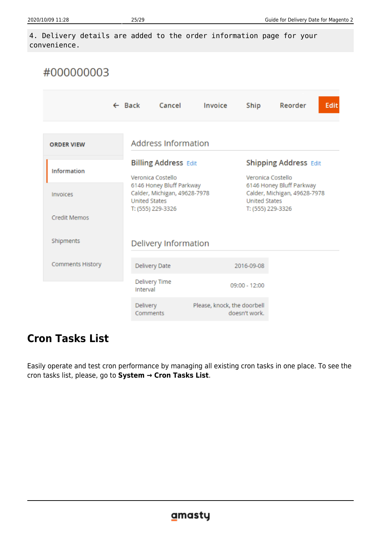4. Delivery details are added to the order information page for your convenience.

| #000000003              |                           |                                                                                  |                             |                                                                                                       |                                                   |      |  |
|-------------------------|---------------------------|----------------------------------------------------------------------------------|-----------------------------|-------------------------------------------------------------------------------------------------------|---------------------------------------------------|------|--|
|                         | $\leftarrow$ Back         | Cancel                                                                           | Invoice                     | Ship                                                                                                  | Reorder                                           | Edit |  |
| <b>ORDER VIEW</b>       |                           | <b>Address Information</b>                                                       |                             |                                                                                                       |                                                   |      |  |
| <b>Information</b>      |                           | <b>Billing Address Edit</b><br>Veronica Costello                                 |                             |                                                                                                       | <b>Shipping Address Edit</b><br>Veronica Costello |      |  |
| Invoices                |                           | 6146 Honey Bluff Parkway<br>Calder, Michigan, 49628-7978<br><b>United States</b> |                             | 6146 Honey Bluff Parkway<br>Calder, Michigan, 49628-7978<br><b>United States</b><br>T: (555) 229-3326 |                                                   |      |  |
| <b>Credit Memos</b>     | T: (555) 229-3326         |                                                                                  |                             |                                                                                                       |                                                   |      |  |
| Shipments               |                           | Delivery Information                                                             |                             |                                                                                                       |                                                   |      |  |
| <b>Comments History</b> |                           | Delivery Date                                                                    |                             |                                                                                                       | 2016-09-08                                        |      |  |
|                         | Delivery Time<br>Interval |                                                                                  |                             | 09:00 - 12:00                                                                                         |                                                   |      |  |
|                         | Delivery<br>Comments      |                                                                                  | Please, knock, the doorbell | doesn't work.                                                                                         |                                                   |      |  |

## **Cron Tasks List**

Easily operate and test cron performance by managing all existing cron tasks in one place. To see the cron tasks list, please, go to **System → Cron Tasks List**.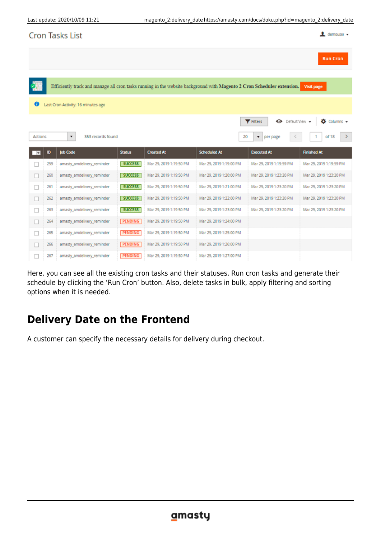| $\mathbf 1$ demouser $\mathbf -$<br><b>Cron Tasks List</b> |     |                                                                                                                        |                |                         |                         |                                      |                             |
|------------------------------------------------------------|-----|------------------------------------------------------------------------------------------------------------------------|----------------|-------------------------|-------------------------|--------------------------------------|-----------------------------|
|                                                            |     |                                                                                                                        |                |                         |                         |                                      | <b>Run Cron</b>             |
|                                                            |     |                                                                                                                        |                |                         |                         |                                      |                             |
|                                                            |     | Efficiently track and manage all cron tasks running in the website background with Magento 2 Cron Scheduler extension. |                |                         |                         |                                      | Visit page                  |
| o                                                          |     | Last Cron Activity: 16 minutes ago                                                                                     |                |                         |                         |                                      |                             |
|                                                            |     |                                                                                                                        |                |                         |                         | O Default View -<br><b>Y</b> Filters | $\bullet$ Columns $\bullet$ |
| Actions                                                    |     | ۰<br>353 records found                                                                                                 |                |                         | 20                      | $\pmb{\mathrm{v}}$<br>per page       | of 18<br>⋗                  |
|                                                            |     |                                                                                                                        |                |                         |                         |                                      |                             |
| $\overline{\phantom{a}}$                                   | 10  | <b>Job Code</b>                                                                                                        | <b>Status</b>  | <b>Created At</b>       | <b>Scheduled At</b>     | <b>Executed At</b>                   | <b>Finished At</b>          |
|                                                            | 259 | amasty_amdelivery_reminder                                                                                             | <b>SUCCESS</b> | Mar 29, 2019 1:19:50 PM | Mar 29, 2019 1:19:00 PM | Mar 29, 2019 1:19:59 PM              | Mar 29, 2019 1:19:59 PM     |
| □                                                          | 260 | amasty_amdelivery_reminder                                                                                             | <b>SUCCESS</b> | Mar 29, 2019 1:19:50 PM | Mar 29, 2019 1:20:00 PM | Mar 29, 2019 1:23:20 PM              | Mar 29, 2019 1:23:20 PM     |
| П                                                          | 261 | amasty_amdelivery_reminder                                                                                             | <b>SUCCESS</b> | Mar 29, 2019 1:19:50 PM | Mar 29, 2019 1:21:00 PM | Mar 29, 2019 1:23:20 PM              | Mar 29, 2019 1:23:20 PM     |
| П                                                          | 262 | amasty_amdelivery_reminder                                                                                             | <b>SUCCESS</b> | Mar 29, 2019 1:19:50 PM | Mar 29, 2019 1:22:00 PM | Mar 29, 2019 1:23:20 PM              | Mar 29, 2019 1:23:20 PM     |
| П                                                          | 263 | amasty_amdelivery_reminder                                                                                             | <b>SUCCESS</b> | Mar 29, 2019 1:19:50 PM | Mar 29, 2019 1:23:00 PM | Mar 29, 2019 1:23:20 PM              | Mar 29, 2019 1:23:20 PM     |
| $\Box$                                                     | 264 | amasty_amdelivery_reminder                                                                                             | PENDING        | Mar 29, 2019 1:19:50 PM | Mar 29, 2019 1:24:00 PM |                                      |                             |
| $\Box$                                                     | 265 | amasty_amdelivery_reminder                                                                                             | PENDING        | Mar 29, 2019 1:19:50 PM | Mar 29, 2019 1:25:00 PM |                                      |                             |
| □                                                          | 266 | amasty_amdelivery_reminder                                                                                             | PENDING        | Mar 29, 2019 1:19:50 PM | Mar 29, 2019 1:26:00 PM |                                      |                             |

Here, you can see all the existing cron tasks and their statuses. Run cron tasks and generate their schedule by clicking the 'Run Cron' button. Also, delete tasks in bulk, apply filtering and sorting options when it is needed.

## **Delivery Date on the Frontend**

A customer can specify the necessary details for delivery during checkout.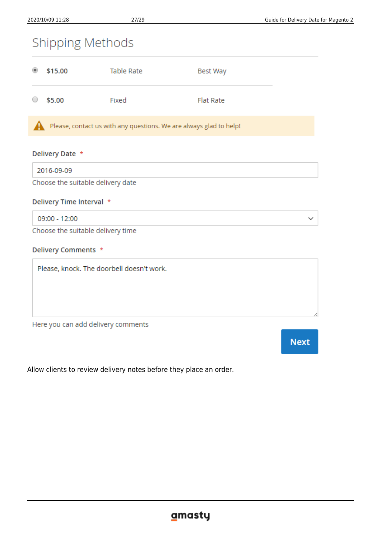# Shipping Methods

| $_{\odot}$          | \$15.00 | Table Rate | Best Way         |
|---------------------|---------|------------|------------------|
| $\circlearrowright$ | \$5.00  | Fixed      | <b>Flat Rate</b> |

Please, contact us with any questions. We are always glad to help!

#### Delivery Date \*

2016-09-09

Choose the suitable delivery date

#### Delivery Time Interval \*

09:00 - 12:00

Choose the suitable delivery time

#### Delivery Comments \*

Please, knock. The doorbell doesn't work.

Here you can add delivery comments

**Next** 

 $\checkmark$ 

Allow clients to review delivery notes before they place an order.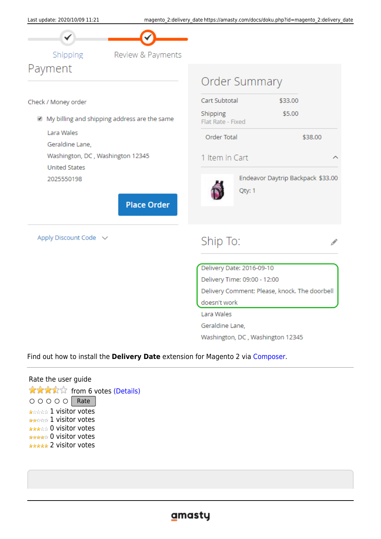

Shipping Payment

Review & Payments

#### Check / Money order

My billing and shipping address are the same

Lara Wales

Geraldine Lane.

Washington, DC, Washington 12345

**United States** 

2025550198

**Place Order** 

Apply Discount Code v

| Order Summary                          |                                               |         |                                   |  |  |  |
|----------------------------------------|-----------------------------------------------|---------|-----------------------------------|--|--|--|
| Cart Subtotal                          |                                               | \$33.00 |                                   |  |  |  |
| Shipping<br>Flat Rate - Fixed          |                                               | \$5.00  |                                   |  |  |  |
| Order Total                            |                                               |         | \$38.00                           |  |  |  |
| 1 Item in Cart                         |                                               |         |                                   |  |  |  |
|                                        | Qty: 1                                        |         | Endeavor Daytrip Backpack \$33.00 |  |  |  |
| Ship To:                               |                                               |         |                                   |  |  |  |
|                                        | Delivery Date: 2016-09-10                     |         |                                   |  |  |  |
|                                        | Delivery Time: 09:00 - 12:00                  |         |                                   |  |  |  |
|                                        | Delivery Comment: Please, knock. The doorbell |         |                                   |  |  |  |
| and the company that is a company of a |                                               |         |                                   |  |  |  |

doesn't work

Lara Wales

Geraldine Lane,

Washington, DC, Washington 12345

#### Find out how to install the **Delivery Date** extension for Magento 2 via [Composer](https://amasty.com/docs/doku.php?id=magento_2:composer_user_guide).

#### Rate the user guide

**★★★**★☆ from 6 votes [\(Details\)](#rateanker_4779515f80494e74b037.84076747)  $\circ \circ \circ \circ$  Rate \*\*\*\*\* 1 visitor votes \*\*\*\*\* 1 visitor votes \*\*\*\*\* 0 visitor votes \*\*\*\*\* 0 visitor votes \*\*\*\*\* 2 visitor votes